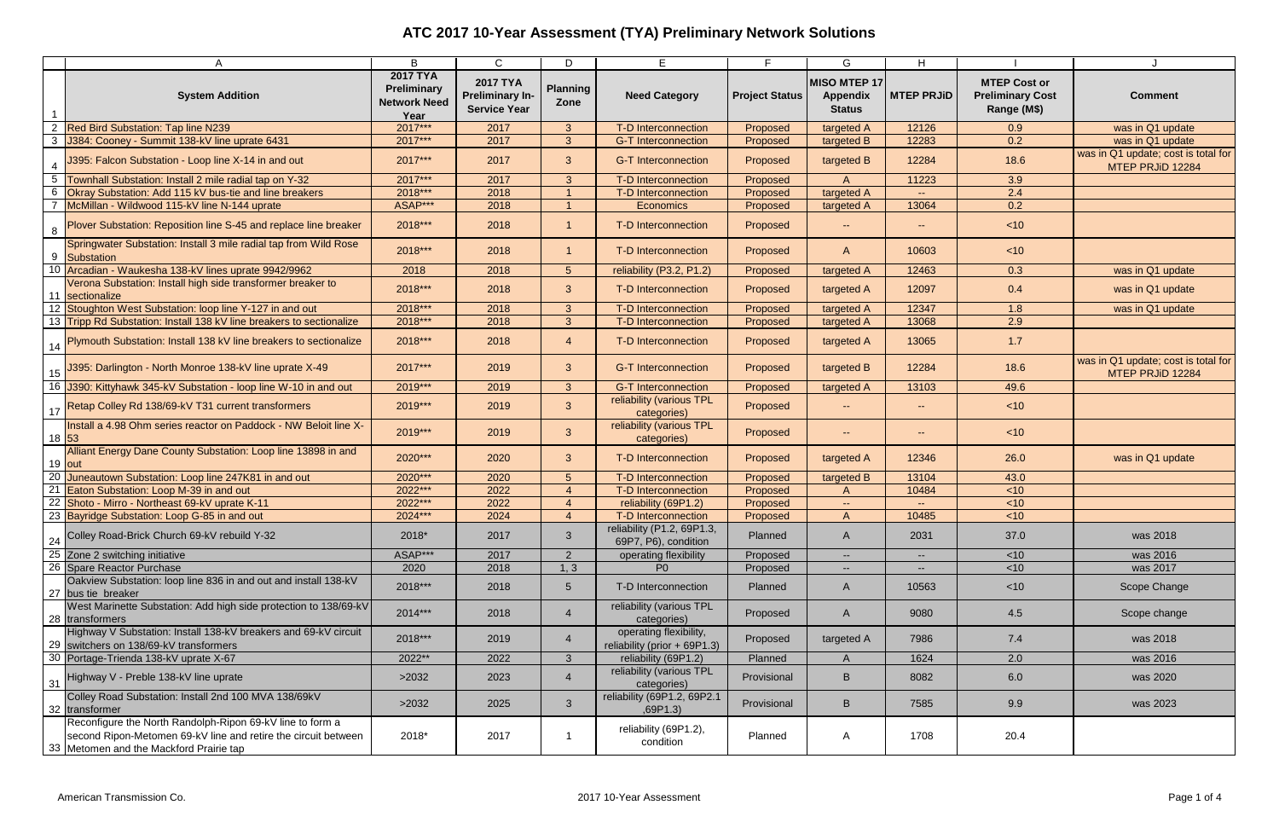|                 | A                                                                                                                                                                      | B                                                             | $\mathsf{C}$                                                     | D                        | E.                                                       | E.                    | G                                                       | H                           |                                                               |                                                         |
|-----------------|------------------------------------------------------------------------------------------------------------------------------------------------------------------------|---------------------------------------------------------------|------------------------------------------------------------------|--------------------------|----------------------------------------------------------|-----------------------|---------------------------------------------------------|-----------------------------|---------------------------------------------------------------|---------------------------------------------------------|
|                 | <b>System Addition</b>                                                                                                                                                 | <b>2017 TYA</b><br>Preliminary<br><b>Network Need</b><br>Year | <b>2017 TYA</b><br><b>Preliminary In-</b><br><b>Service Year</b> | <b>Planning</b><br>Zone  | <b>Need Category</b>                                     | <b>Project Status</b> | <b>MISO MTEP 17</b><br><b>Appendix</b><br><b>Status</b> | <b>MTEP PRJID</b>           | <b>MTEP Cost or</b><br><b>Preliminary Cost</b><br>Range (M\$) | <b>Comment</b>                                          |
| 2               | <b>Red Bird Substation: Tap line N239</b>                                                                                                                              | 2017***                                                       | 2017                                                             | $\mathbf{3}$             | T-D Interconnection                                      | Proposed              | targeted A                                              | 12126                       | 0.9                                                           | was in Q1 update                                        |
|                 | 3 J384: Cooney - Summit 138-kV line uprate 6431                                                                                                                        | 2017***                                                       | 2017                                                             | 3 <sup>2</sup>           | <b>G-T Interconnection</b>                               | Proposed              | targeted B                                              | 12283                       | 0.2                                                           | was in Q1 update                                        |
| $\overline{4}$  | J395: Falcon Substation - Loop line X-14 in and out                                                                                                                    | 2017***                                                       | 2017                                                             | $\mathbf{3}$             | <b>G-T Interconnection</b>                               | Proposed              | targeted B                                              | 12284                       | 18.6                                                          | was in Q1 update; cost is total for<br>MTEP PRJiD 12284 |
| $5\overline{)}$ | Townhall Substation: Install 2 mile radial tap on Y-32                                                                                                                 | 2017***                                                       | 2017                                                             | 3                        | <b>T-D Interconnection</b>                               | Proposed              | $\mathsf{A}$                                            | 11223                       | 3.9                                                           |                                                         |
| 6               | Okray Substation: Add 115 kV bus-tie and line breakers                                                                                                                 | 2018***                                                       | 2018                                                             |                          | T-D Interconnection                                      | Proposed              | targeted A                                              | $\mathcal{L}_{\mathcal{F}}$ | 2.4                                                           |                                                         |
|                 | McMillan - Wildwood 115-kV line N-144 uprate                                                                                                                           | ASAP***                                                       | 2018                                                             |                          | Economics                                                | Proposed              | targeted A                                              | 13064                       | 0.2                                                           |                                                         |
| 8               | Plover Substation: Reposition line S-45 and replace line breaker                                                                                                       | 2018***                                                       | 2018                                                             |                          | T-D Interconnection                                      | Proposed              | HH 1                                                    | $\sim$                      | < 10                                                          |                                                         |
| 9               | Springwater Substation: Install 3 mile radial tap from Wild Rose<br><b>Substation</b>                                                                                  | 2018***                                                       | 2018                                                             |                          | T-D Interconnection                                      | Proposed              | $\mathsf{A}$                                            | 10603                       | < 10                                                          |                                                         |
| 10              | Arcadian - Waukesha 138-kV lines uprate 9942/9962                                                                                                                      | 2018                                                          | 2018                                                             | 5 <sup>5</sup>           | reliability (P3.2, P1.2)                                 | Proposed              | targeted A                                              | 12463                       | 0.3                                                           | was in Q1 update                                        |
| 11              | Verona Substation: Install high side transformer breaker to<br>sectionalize                                                                                            | 2018***                                                       | 2018                                                             | 3 <sup>1</sup>           | T-D Interconnection                                      | Proposed              | targeted A                                              | 12097                       | 0.4                                                           | was in Q1 update                                        |
|                 | Stoughton West Substation: loop line Y-127 in and out                                                                                                                  | 2018***                                                       | 2018                                                             | $\mathbf{3}$             | T-D Interconnection                                      | Proposed              | targeted A                                              | 12347                       | 1.8                                                           | was in Q1 update                                        |
|                 | 13 Tripp Rd Substation: Install 138 kV line breakers to sectionalize                                                                                                   | 2018***                                                       | 2018                                                             | 3 <sup>1</sup>           | T-D Interconnection                                      | Proposed              | targeted A                                              | 13068                       | 2.9                                                           |                                                         |
|                 | Plymouth Substation: Install 138 kV line breakers to sectionalize                                                                                                      | 2018***                                                       | 2018                                                             | $\overline{4}$           | T-D Interconnection                                      | Proposed              | targeted A                                              | 13065                       | 1.7                                                           |                                                         |
|                 | 15 395: Darlington - North Monroe 138-kV line uprate X-49                                                                                                              | 2017***                                                       | 2019                                                             | $\mathbf{3}$             | <b>G-T Interconnection</b>                               | Proposed              | targeted B                                              | 12284                       | 18.6                                                          | was in Q1 update; cost is total for<br>MTEP PRJiD 12284 |
|                 | 16 J390: Kittyhawk 345-kV Substation - loop line W-10 in and out                                                                                                       | 2019***                                                       | 2019                                                             | $\mathbf{3}$             | <b>G-T Interconnection</b>                               | Proposed              | targeted A                                              | 13103                       | 49.6                                                          |                                                         |
|                 | 1 <sub>17</sub> Retap Colley Rd 138/69-kV T31 current transformers                                                                                                     | 2019 ***                                                      | 2019                                                             | 3 <sup>2</sup>           | reliability (various TPL<br>categories)                  | Proposed              | $\sim$                                                  | $\sim$                      | < 10                                                          |                                                         |
|                 | Install a 4.98 Ohm series reactor on Paddock - NW Beloit line X-<br>18 53                                                                                              | 2019 ***                                                      | 2019                                                             | 3 <sup>2</sup>           | reliability (various TPL<br>categories)                  | Proposed              | $\sim$ $\sim$                                           | $\sim$                      | < 10                                                          |                                                         |
|                 | Alliant Energy Dane County Substation: Loop line 13898 in and<br>19 out                                                                                                | 2020***                                                       | 2020                                                             | 3 <sup>1</sup>           | <b>T-D Interconnection</b>                               | Proposed              | targeted A                                              | 12346                       | 26.0                                                          | was in Q1 update                                        |
|                 | 20 Juneautown Substation: Loop line 247K81 in and out                                                                                                                  | 2020***                                                       | 2020                                                             | 5                        | T-D Interconnection                                      | Proposed              | targeted B                                              | 13104                       | 43.0                                                          |                                                         |
| 21              | Eaton Substation: Loop M-39 in and out                                                                                                                                 | 2022***                                                       | 2022                                                             | $\boldsymbol{4}$         | <b>T-D Interconnection</b>                               | Proposed              | $\mathsf{A}$                                            | 10484                       | < 10                                                          |                                                         |
|                 | 22 Shoto - Mirro - Northeast 69-kV uprate K-11                                                                                                                         | 2022***                                                       | 2022                                                             | $\overline{\mathcal{A}}$ | reliability (69P1.2)                                     | Proposed              | $\sim$                                                  | $\mathbf{u}$                | < 10                                                          |                                                         |
|                 | 23 Bayridge Substation: Loop G-85 in and out                                                                                                                           | 2024***                                                       | 2024                                                             | $\overline{4}$           | T-D Interconnection                                      | Proposed              | $\overline{A}$                                          | 10485                       | < 10                                                          |                                                         |
| 24              | Colley Road-Brick Church 69-kV rebuild Y-32                                                                                                                            | 2018*                                                         | 2017                                                             | 3 <sup>1</sup>           | reliability (P1.2, 69P1.3,<br>69P7, P6), condition       | Planned               | $\mathsf{A}$                                            | 2031                        | 37.0                                                          | was 2018                                                |
|                 | 25 Zone 2 switching initiative                                                                                                                                         | ASAP***                                                       | 2017                                                             | $2^{\circ}$              | operating flexibility                                    | Proposed              | $\sim$                                                  | $\sim$                      | $<$ 10                                                        | was 2016                                                |
|                 | 26 Spare Reactor Purchase                                                                                                                                              | 2020                                                          | 2018                                                             | 1, 3                     | P <sub>0</sub>                                           | Proposed              | $\sim$                                                  | $\overline{a}$              | $<$ 10                                                        | was 2017                                                |
|                 | Oakview Substation: loop line 836 in and out and install 138-kV<br>27 bus tie breaker                                                                                  | 2018***                                                       | 2018                                                             | 5 <sup>5</sup>           | T-D Interconnection                                      | Planned               | $\mathsf{A}$                                            | 10563                       | $<$ 10                                                        | Scope Change                                            |
|                 | West Marinette Substation: Add high side protection to 138/69-kV<br>28 transformers                                                                                    | 2014***                                                       | 2018                                                             | $\overline{4}$           | reliability (various TPL<br>categories)                  | Proposed              | $\mathsf{A}$                                            | 9080                        | 4.5                                                           | Scope change                                            |
| 29              | Highway V Substation: Install 138-kV breakers and 69-kV circuit<br>switchers on 138/69-kV transformers                                                                 | 2018***                                                       | 2019                                                             |                          | operating flexibility,<br>reliability (prior $+69P1.3$ ) | Proposed              | targeted A                                              | 7986                        | 7.4                                                           | was 2018                                                |
|                 | 30 Portage-Trienda 138-kV uprate X-67                                                                                                                                  | 2022**                                                        | 2022                                                             | 3 <sup>5</sup>           | reliability (69P1.2)                                     | Planned               | A                                                       | 1624                        | 2.0                                                           | was 2016                                                |
| 31              | Highway V - Preble 138-kV line uprate                                                                                                                                  | >2032                                                         | 2023                                                             | 4                        | reliability (various TPL<br>categories)                  | Provisional           | B                                                       | 8082                        | 6.0                                                           | was 2020                                                |
| 32              | Colley Road Substation: Install 2nd 100 MVA 138/69kV<br>transformer                                                                                                    | >2032                                                         | 2025                                                             | $\mathbf{3}$             | reliability (69P1.2, 69P2.1<br>,69P1.3)                  | Provisional           | B                                                       | 7585                        | 9.9                                                           | was 2023                                                |
|                 | Reconfigure the North Randolph-Ripon 69-kV line to form a<br>second Ripon-Metomen 69-kV line and retire the circuit between<br>33 Metomen and the Mackford Prairie tap | 2018*                                                         | 2017                                                             |                          | reliability (69P1.2),<br>condition                       | Planned               | A                                                       | 1708                        | 20.4                                                          |                                                         |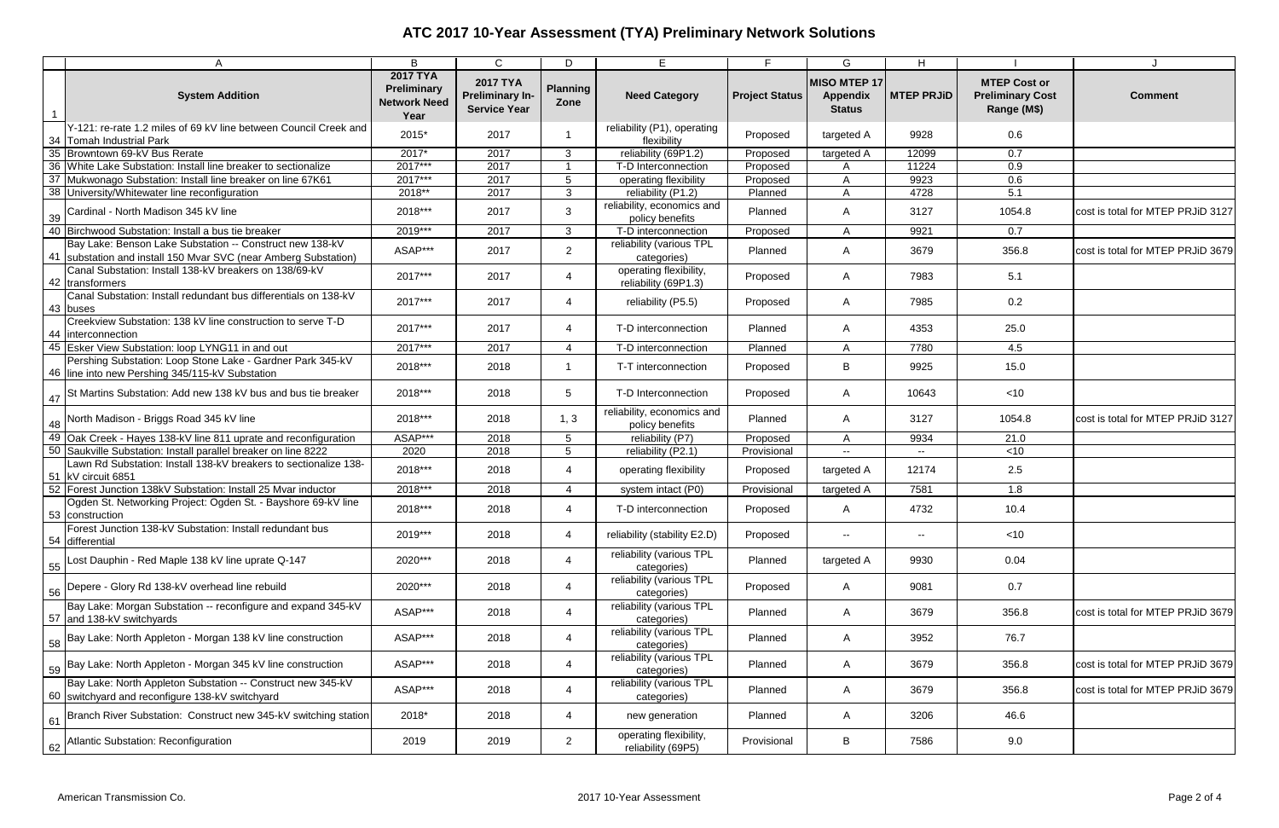|    | Α                                                                                                                           | B                                                             | $\mathsf{C}$                                                     | D                       | E                                              | E.                    | G                                                | H                                             |                                                               |                                   |
|----|-----------------------------------------------------------------------------------------------------------------------------|---------------------------------------------------------------|------------------------------------------------------------------|-------------------------|------------------------------------------------|-----------------------|--------------------------------------------------|-----------------------------------------------|---------------------------------------------------------------|-----------------------------------|
|    | <b>System Addition</b>                                                                                                      | <b>2017 TYA</b><br>Preliminary<br><b>Network Need</b><br>Year | <b>2017 TYA</b><br><b>Preliminary In-</b><br><b>Service Year</b> | <b>Planning</b><br>Zone | <b>Need Category</b>                           | <b>Project Status</b> | MISO MTEP 17<br><b>Appendix</b><br><b>Status</b> | <b>MTEP PRJiD</b>                             | <b>MTEP Cost or</b><br><b>Preliminary Cost</b><br>Range (M\$) | <b>Comment</b>                    |
|    | Y-121: re-rate 1.2 miles of 69 kV line between Council Creek and<br>34 Tomah Industrial Park                                | 2015*                                                         | 2017                                                             |                         | reliability (P1), operating<br>flexibility     | Proposed              | targeted A                                       | 9928                                          | 0.6                                                           |                                   |
|    | 35 Browntown 69-kV Bus Rerate                                                                                               | $2017*$                                                       | 2017                                                             | 3                       | reliability (69P1.2)                           | Proposed              | targeted A                                       | 12099                                         | 0.7                                                           |                                   |
|    | 36 White Lake Substation: Install line breaker to sectionalize                                                              | 2017***                                                       | 2017                                                             |                         | T-D Interconnection                            | Proposed              | A                                                | 11224                                         | 0.9                                                           |                                   |
|    | 37 Mukwonago Substation: Install line breaker on line 67K61                                                                 | $2017***$                                                     | 2017                                                             | 5                       | operating flexibility                          | Proposed              | $\overline{A}$                                   | 9923                                          | 0.6                                                           |                                   |
|    | 38 University/Whitewater line reconfiguration                                                                               | 2018**                                                        | 2017                                                             | $\mathbf{3}$            | reliability (P1.2)                             | Planned               | $\mathsf{A}$                                     | 4728                                          | 5.1                                                           |                                   |
|    | 39 Cardinal - North Madison 345 kV line                                                                                     | 2018***                                                       | 2017                                                             | 3                       | reliability, economics and<br>policy benefits  | Planned               | $\mathsf{A}$                                     | 3127                                          | 1054.8                                                        | cost is total for MTEP PRJiD 3127 |
|    | 40 Birchwood Substation: Install a bus tie breaker                                                                          | 2019***                                                       | 2017                                                             | $\mathbf{3}$            | T-D interconnection                            | Proposed              | $\mathsf{A}$                                     | 9921                                          | 0.7                                                           |                                   |
|    | Bay Lake: Benson Lake Substation -- Construct new 138-kV<br>41 Substation and install 150 Mvar SVC (near Amberg Substation) | ASAP***                                                       | 2017                                                             | $2^{\circ}$             | reliability (various TPL<br>categories)        | Planned               | A                                                | 3679                                          | 356.8                                                         | cost is total for MTEP PRJiD 3679 |
|    | Canal Substation: Install 138-kV breakers on 138/69-kV<br>42 transformers                                                   | 2017***                                                       | 2017                                                             | 4                       | operating flexibility,<br>reliability (69P1.3) | Proposed              | A                                                | 7983                                          | 5.1                                                           |                                   |
|    | Canal Substation: Install redundant bus differentials on 138-kV<br>43 buses                                                 | 2017***                                                       | 2017                                                             | 4                       | reliability (P5.5)                             | Proposed              | A                                                | 7985                                          | 0.2                                                           |                                   |
|    | Creekview Substation: 138 kV line construction to serve T-D<br>44 Interconnection                                           | 2017***                                                       | 2017                                                             | 4                       | T-D interconnection                            | Planned               | A                                                | 4353                                          | 25.0                                                          |                                   |
|    | 45 Esker View Substation: loop LYNG11 in and out                                                                            | 2017***                                                       | 2017                                                             | $\overline{4}$          | T-D interconnection                            | Planned               | $\mathsf{A}$                                     | 7780                                          | 4.5                                                           |                                   |
|    | Pershing Substation: Loop Stone Lake - Gardner Park 345-kV<br>46 line into new Pershing 345/115-kV Substation               | 2018***                                                       | 2018                                                             | $\overline{1}$          | T-T interconnection                            | Proposed              | B                                                | 9925                                          | 15.0                                                          |                                   |
|    | 47 St Martins Substation: Add new 138 kV bus and bus tie breaker                                                            | 2018***                                                       | 2018                                                             | 5                       | T-D Interconnection                            | Proposed              | A                                                | 10643                                         | $<$ 10                                                        |                                   |
| 48 | North Madison - Briggs Road 345 kV line                                                                                     | 2018***                                                       | 2018                                                             | 1, 3                    | reliability, economics and<br>policy benefits  | Planned               | $\mathsf{A}$                                     | 3127                                          | 1054.8                                                        | cost is total for MTEP PRJiD 3127 |
|    | 49 Oak Creek - Hayes 138-kV line 811 uprate and reconfiguration                                                             | ASAP***                                                       | 2018                                                             | $5^{\circ}$             | reliability (P7)                               | Proposed              | A                                                | 9934                                          | 21.0                                                          |                                   |
|    | 50 Saukville Substation: Install parallel breaker on line 8222                                                              | 2020                                                          | 2018                                                             | 5 <sup>5</sup>          | reliability (P2.1)                             | Provisional           | $\sim$ $\sim$                                    | $\sim$ $-$                                    | $<$ 10                                                        |                                   |
|    | Lawn Rd Substation: Install 138-kV breakers to sectionalize 138-<br>51 KV circuit 6851                                      | 2018***                                                       | 2018                                                             | 4                       | operating flexibility                          | Proposed              | targeted A                                       | 12174                                         | 2.5                                                           |                                   |
| 52 | Forest Junction 138kV Substation: Install 25 Mvar inductor                                                                  | 2018***                                                       | 2018                                                             | 4                       | system intact (P0)                             | Provisional           | targeted A                                       | 7581                                          | 1.8                                                           |                                   |
|    | Ogden St. Networking Project: Ogden St. - Bayshore 69-kV line<br>53 construction                                            | 2018***                                                       | 2018                                                             | 4                       | T-D interconnection                            | Proposed              | A                                                | 4732                                          | 10.4                                                          |                                   |
|    | Forest Junction 138-kV Substation: Install redundant bus<br>54 differential                                                 | 2019***                                                       | 2018                                                             | 4                       | reliability (stability E2.D)                   | Proposed              | $\sim$                                           | $\mathord{\hspace{1pt}\text{--}\hspace{1pt}}$ | $<$ 10                                                        |                                   |
| 55 | Lost Dauphin - Red Maple 138 kV line uprate Q-147                                                                           | 2020***                                                       | 2018                                                             | 4                       | reliability (various TPL<br>categories)        | Planned               | targeted A                                       | 9930                                          | 0.04                                                          |                                   |
| 56 | Depere - Glory Rd 138-kV overhead line rebuild                                                                              | 2020***                                                       | 2018                                                             | 4                       | reliability (various TPL<br>categories)        | Proposed              | $\mathsf{A}$                                     | 9081                                          | 0.7                                                           |                                   |
|    | Bay Lake: Morgan Substation -- reconfigure and expand 345-kV<br>57 and 138-kV switchyards                                   | ASAP***                                                       | 2018                                                             | 4                       | reliability (various TPL<br>categories)        | Planned               | $\mathsf{A}$                                     | 3679                                          | 356.8                                                         | cost is total for MTEP PRJiD 3679 |
|    | Bay Lake: North Appleton - Morgan 138 kV line construction                                                                  | ASAP***                                                       | 2018                                                             | 4                       | reliability (various TPL<br>categories)        | Planned               | $\mathsf{A}$                                     | 3952                                          | 76.7                                                          |                                   |
|    | 59 Bay Lake: North Appleton - Morgan 345 kV line construction                                                               | ASAP***                                                       | 2018                                                             | 4                       | reliability (various TPL<br>categories)        | Planned               | $\mathsf{A}$                                     | 3679                                          | 356.8                                                         | cost is total for MTEP PRJiD 3679 |
|    | Bay Lake: North Appleton Substation -- Construct new 345-kV<br>60 switchyard and reconfigure 138-kV switchyard              | ASAP***                                                       | 2018                                                             | 4                       | reliability (various TPL<br>categories)        | Planned               | A                                                | 3679                                          | 356.8                                                         | cost is total for MTEP PRJiD 3679 |
|    | 61 Branch River Substation: Construct new 345-kV switching station                                                          | 2018*                                                         | 2018                                                             | 4                       | new generation                                 | Planned               | $\mathsf{A}$                                     | 3206                                          | 46.6                                                          |                                   |
|    | 62 Atlantic Substation: Reconfiguration                                                                                     | 2019                                                          | 2019                                                             | $\overline{2}$          | operating flexibility,<br>reliability (69P5)   | Provisional           | B                                                | 7586                                          | 9.0                                                           |                                   |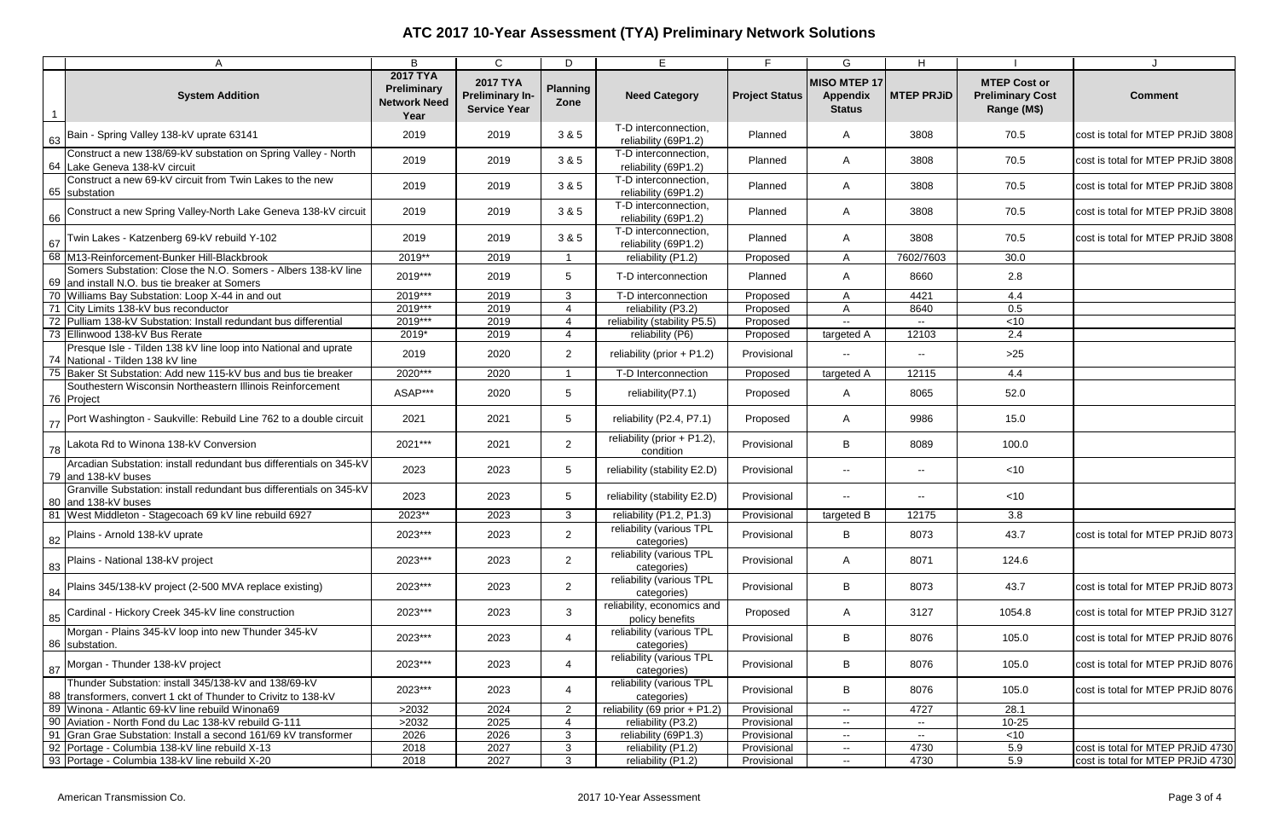| Α                                                                                                                        | B                                                             | $\mathsf{C}$                                                     | D                       | E                                             | Е                     | G                                                | H                                             |                                                               |                                   |
|--------------------------------------------------------------------------------------------------------------------------|---------------------------------------------------------------|------------------------------------------------------------------|-------------------------|-----------------------------------------------|-----------------------|--------------------------------------------------|-----------------------------------------------|---------------------------------------------------------------|-----------------------------------|
| <b>System Addition</b><br>$\overline{1}$                                                                                 | <b>2017 TYA</b><br>Preliminary<br><b>Network Need</b><br>Year | <b>2017 TYA</b><br><b>Preliminary In-</b><br><b>Service Year</b> | <b>Planning</b><br>Zone | <b>Need Category</b>                          | <b>Project Status</b> | MISO MTEP 17<br><b>Appendix</b><br><b>Status</b> | <b>MTEP PRJID</b>                             | <b>MTEP Cost or</b><br><b>Preliminary Cost</b><br>Range (M\$) | <b>Comment</b>                    |
| 63 Bain - Spring Valley 138-kV uprate 63141                                                                              | 2019                                                          | 2019                                                             | 3 & 5                   | T-D interconnection,<br>reliability (69P1.2)  | Planned               | A                                                | 3808                                          | 70.5                                                          | cost is total for MTEP PRJiD 3808 |
| Construct a new 138/69-kV substation on Spring Valley - North<br>64 Lake Geneva 138-kV circuit                           | 2019                                                          | 2019                                                             | 3 & 5                   | T-D interconnection,<br>reliability (69P1.2)  | Planned               | A                                                | 3808                                          | 70.5                                                          | cost is total for MTEP PRJiD 3808 |
| Construct a new 69-kV circuit from Twin Lakes to the new<br>65 substation                                                | 2019                                                          | 2019                                                             | 3 & 5                   | T-D interconnection,<br>reliability (69P1.2)  | Planned               | $\mathsf{A}$                                     | 3808                                          | 70.5                                                          | cost is total for MTEP PRJiD 3808 |
| 66 Construct a new Spring Valley-North Lake Geneva 138-kV circuit                                                        | 2019                                                          | 2019                                                             | 3 & 5                   | T-D interconnection,<br>reliability (69P1.2)  | Planned               | A                                                | 3808                                          | 70.5                                                          | cost is total for MTEP PRJiD 3808 |
| Twin Lakes - Katzenberg 69-kV rebuild Y-102<br>67                                                                        | 2019                                                          | 2019                                                             | 3 & 5                   | T-D interconnection,<br>reliability (69P1.2)  | Planned               | A                                                | 3808                                          | 70.5                                                          | cost is total for MTEP PRJiD 3808 |
| 68 M13-Reinforcement-Bunker Hill-Blackbrook                                                                              | 2019**                                                        | 2019                                                             |                         | reliability (P1.2)                            | Proposed              | $\mathsf{A}$                                     | 7602/7603                                     | 30.0                                                          |                                   |
| Somers Substation: Close the N.O. Somers - Albers 138-kV line<br>69 and install N.O. bus tie breaker at Somers           | 2019***                                                       | 2019                                                             | 5                       | T-D interconnection                           | Planned               | A                                                | 8660                                          | 2.8                                                           |                                   |
| 70 Williams Bay Substation: Loop X-44 in and out                                                                         | 2019***                                                       | 2019                                                             | 3                       | T-D interconnection                           | Proposed              | $\mathsf{A}$                                     | 4421                                          | 4.4                                                           |                                   |
| 71 City Limits 138-kV bus reconductor                                                                                    | 2019***                                                       | 2019                                                             | 4                       | reliability (P3.2)                            | Proposed              | $\mathsf{A}$                                     | 8640                                          | 0.5                                                           |                                   |
| 72 Pulliam 138-kV Substation: Install redundant bus differential                                                         | 2019***                                                       | 2019                                                             | 4                       | reliability (stability P5.5)                  | Proposed              |                                                  |                                               | $<$ 10                                                        |                                   |
| 73 Ellinwood 138-kV Bus Rerate                                                                                           | 2019*                                                         | 2019                                                             | $\overline{4}$          | reliability (P6)                              | Proposed              | targeted A                                       | 12103                                         | 2.4                                                           |                                   |
| Presque Isle - Tilden 138 kV line loop into National and uprate<br>74 National - Tilden 138 kV line                      | 2019                                                          | 2020                                                             | $\overline{2}$          | reliability (prior $+$ P1.2)                  | Provisional           | $\sim$ $\sim$                                    | $\sim$                                        | $>25$                                                         |                                   |
| 75 Baker St Substation: Add new 115-kV bus and bus tie breaker                                                           | 2020***                                                       | 2020                                                             |                         | T-D Interconnection                           | Proposed              | targeted A                                       | 12115                                         | 4.4                                                           |                                   |
| Southestern Wisconsin Northeastern Illinois Reinforcement<br>76 Project                                                  | ASAP***                                                       | 2020                                                             | 5 <sup>5</sup>          | reliability(P7.1)                             | Proposed              | A                                                | 8065                                          | 52.0                                                          |                                   |
| Port Washington - Saukville: Rebuild Line 762 to a double circuit<br>77                                                  | 2021                                                          | 2021                                                             | 5 <sup>5</sup>          | reliability (P2.4, P7.1)                      | Proposed              | A                                                | 9986                                          | 15.0                                                          |                                   |
| Lakota Rd to Winona 138-kV Conversion<br>78                                                                              | 2021***                                                       | 2021                                                             | $\overline{2}$          | reliability (prior + P1.2),<br>condition      | Provisional           | B                                                | 8089                                          | 100.0                                                         |                                   |
| Arcadian Substation: install redundant bus differentials on 345-kV<br>79 and 138-kV buses                                | 2023                                                          | 2023                                                             | 5                       | reliability (stability E2.D)                  | Provisional           | $\sim$ $\sim$                                    | $\sim$                                        | $<$ 10                                                        |                                   |
| Granville Substation: install redundant bus differentials on 345-kV<br>80 and 138-kV buses                               | 2023                                                          | 2023                                                             | 5                       | reliability (stability E2.D)                  | Provisional           | $\sim$ $\sim$                                    | $-$                                           | ~10                                                           |                                   |
| 81   West Middleton - Stagecoach 69 kV line rebuild 6927                                                                 | 2023**                                                        | 2023                                                             | 3                       | reliability (P1.2, P1.3)                      | Provisional           | targeted B                                       | 12175                                         | 3.8                                                           |                                   |
| Plains - Arnold 138-kV uprate<br>82                                                                                      | 2023***                                                       | 2023                                                             | $\overline{2}$          | reliability (various TPL<br>categories)       | Provisional           | B                                                | 8073                                          | 43.7                                                          | cost is total for MTEP PRJiD 8073 |
| Plains - National 138-kV project<br>83                                                                                   | 2023***                                                       | 2023                                                             | $\overline{2}$          | reliability (various TPL<br>categories)       | Provisional           | A                                                | 8071                                          | 124.6                                                         |                                   |
| Plains 345/138-kV project (2-500 MVA replace existing)<br>84                                                             | 2023***                                                       | 2023                                                             | $\overline{2}$          | reliability (various TPL<br>categories)       | Provisional           | B                                                | 8073                                          | 43.7                                                          | cost is total for MTEP PRJiD 8073 |
| 85 Cardinal - Hickory Creek 345-kV line construction                                                                     | 2023***                                                       | 2023                                                             | $\mathbf{3}$            | reliability, economics and<br>policy benefits | Proposed              | $\mathsf{A}$                                     | 3127                                          | 1054.8                                                        | cost is total for MTEP PRJiD 3127 |
| Morgan - Plains 345-kV loop into new Thunder 345-kV<br>86 substation.                                                    | 2023***                                                       | 2023                                                             | 4                       | reliability (various TPL<br>categories)       | Provisional           | B                                                | 8076                                          | 105.0                                                         | cost is total for MTEP PRJiD 8076 |
| 87 Morgan - Thunder 138-kV project                                                                                       | 2023***                                                       | 2023                                                             | 4                       | reliability (various TPL<br>categories)       | Provisional           | B                                                | 8076                                          | 105.0                                                         | cost is total for MTEP PRJiD 8076 |
| Thunder Substation: install 345/138-kV and 138/69-kV<br>88   transformers, convert 1 ckt of Thunder to Crivitz to 138-kV | 2023***                                                       | 2023                                                             | 4                       | reliability (various TPL<br>categories)       | Provisional           | B                                                | 8076                                          | 105.0                                                         | cost is total for MTEP PRJiD 8076 |
| 89 Winona - Atlantic 69-kV line rebuild Winona69                                                                         | >2032                                                         | 2024                                                             | $\overline{2}$          | reliability (69 prior + $P1.2$ )              | Provisional           | $\sim$                                           | 4727                                          | 28.1                                                          |                                   |
| 90 Aviation - North Fond du Lac 138-kV rebuild G-111                                                                     | >2032                                                         | 2025                                                             |                         | reliability (P3.2)                            | Provisional           | $\sim$                                           | $\mathord{\hspace{1pt}\text{--}\hspace{1pt}}$ | $10 - 25$                                                     |                                   |
| 91 Gran Grae Substation: Install a second 161/69 kV transformer                                                          | 2026                                                          | 2026                                                             | 3                       | reliability (69P1.3)                          | Provisional           | $\sim$                                           | $\sim$                                        | ~10                                                           |                                   |
| 92 Portage - Columbia 138-kV line rebuild X-13                                                                           | 2018                                                          | 2027                                                             | 3                       | reliability (P1.2)                            | Provisional           | $\sim$                                           | 4730                                          | 5.9                                                           | cost is total for MTEP PRJiD 4730 |
| 93 Portage - Columbia 138-kV line rebuild X-20                                                                           | 2018                                                          | 2027                                                             | $\mathbf{3}$            | reliability (P1.2)                            | Provisional           | $\sim$                                           | 4730                                          | 5.9                                                           | cost is total for MTEP PRJiD 4730 |